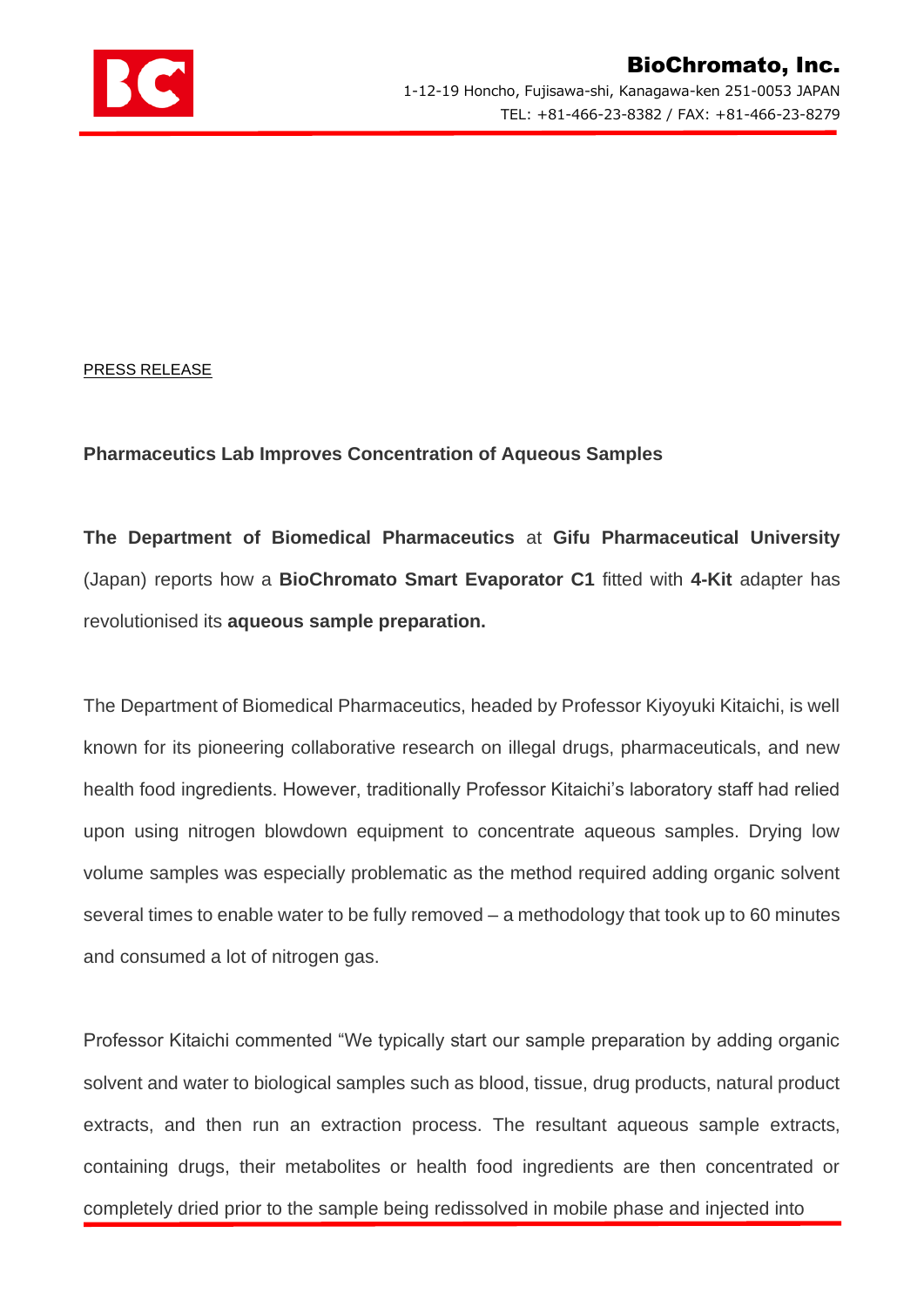

PRESS RELEASE

## **Pharmaceutics Lab Improves Concentration of Aqueous Samples**

**The Department of Biomedical Pharmaceutics** at **Gifu Pharmaceutical University** (Japan) reports how a **BioChromato Smart Evaporator C1** fitted with **4-Kit** adapter has revolutionised its **aqueous sample preparation.**

The Department of Biomedical Pharmaceutics, headed by Professor Kiyoyuki Kitaichi, is well known for its pioneering collaborative research on illegal drugs, pharmaceuticals, and new health food ingredients. However, traditionally Professor Kitaichi's laboratory staff had relied upon using nitrogen blowdown equipment to concentrate aqueous samples. Drying low volume samples was especially problematic as the method required adding organic solvent several times to enable water to be fully removed – a methodology that took up to 60 minutes and consumed a lot of nitrogen gas.

Professor Kitaichi commented "We typically start our sample preparation by adding organic solvent and water to biological samples such as blood, tissue, drug products, natural product extracts, and then run an extraction process. The resultant aqueous sample extracts, containing drugs, their metabolites or health food ingredients are then concentrated or completely dried prior to the sample being redissolved in mobile phase and injected into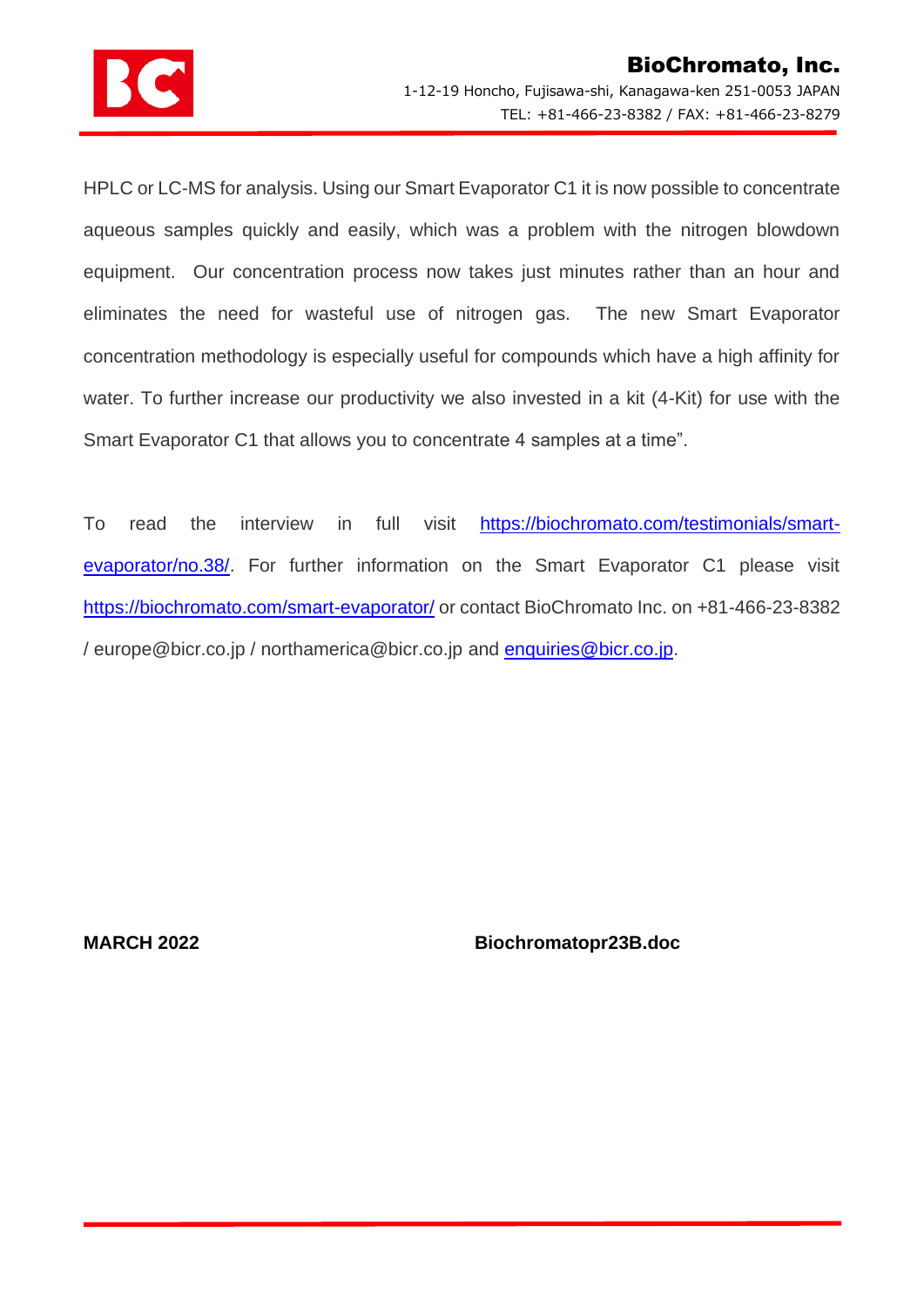

HPLC or LC-MS for analysis. Using our Smart Evaporator C1 it is now possible to concentrate aqueous samples quickly and easily, which was a problem with the nitrogen blowdown equipment. Our concentration process now takes just minutes rather than an hour and eliminates the need for wasteful use of nitrogen gas. The new Smart Evaporator concentration methodology is especially useful for compounds which have a high affinity for water. To further increase our productivity we also invested in a kit (4-Kit) for use with the Smart Evaporator C1 that allows you to concentrate 4 samples at a time".

To read the interview in full visit [https://biochromato.com/testimonials/smart](https://biochromato.com/testimonials/smart-evaporator/no.38/)[evaporator/no.38/.](https://biochromato.com/testimonials/smart-evaporator/no.38/) For further information on the Smart Evaporator C1 please visit <https://biochromato.com/smart-evaporator/> or contact BioChromato Inc. on +81-466-23-8382 / europe@bicr.co.jp / northamerica@bicr.co.jp and **enquiries@bicr.co.jp.** 

**MARCH 2022 Biochromatopr23B.doc**